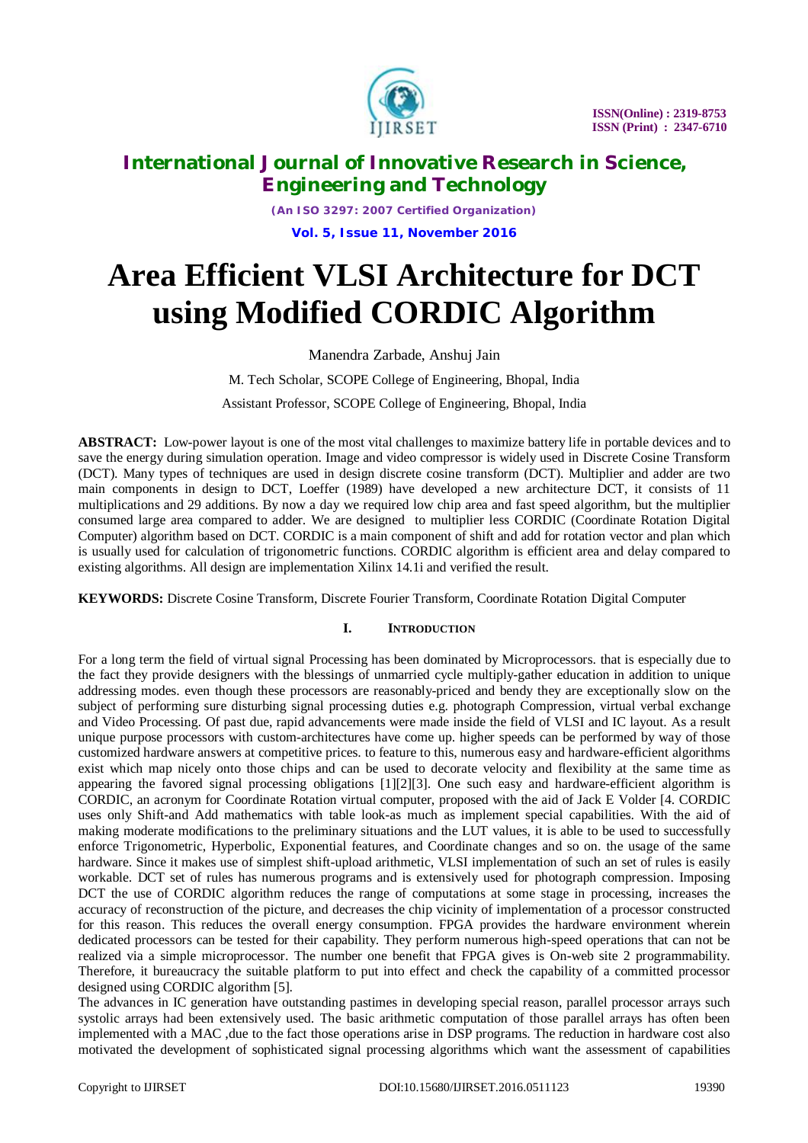

*(An ISO 3297: 2007 Certified Organization)* **Vol. 5, Issue 11, November 2016**

# **Area Efficient VLSI Architecture for DCT using Modified CORDIC Algorithm**

Manendra Zarbade, Anshuj Jain

M. Tech Scholar, SCOPE College of Engineering, Bhopal, India

Assistant Professor, SCOPE College of Engineering, Bhopal, India

**ABSTRACT:** Low-power layout is one of the most vital challenges to maximize battery life in portable devices and to save the energy during simulation operation. Image and video compressor is widely used in Discrete Cosine Transform (DCT). Many types of techniques are used in design discrete cosine transform (DCT). Multiplier and adder are two main components in design to DCT, Loeffer (1989) have developed a new architecture DCT, it consists of 11 multiplications and 29 additions. By now a day we required low chip area and fast speed algorithm, but the multiplier consumed large area compared to adder. We are designed to multiplier less CORDIC (Coordinate Rotation Digital Computer) algorithm based on DCT. CORDIC is a main component of shift and add for rotation vector and plan which is usually used for calculation of trigonometric functions. CORDIC algorithm is efficient area and delay compared to existing algorithms. All design are implementation Xilinx 14.1i and verified the result.

**KEYWORDS:** Discrete Cosine Transform, Discrete Fourier Transform, Coordinate Rotation Digital Computer

### **I. INTRODUCTION**

For a long term the field of virtual signal Processing has been dominated by Microprocessors. that is especially due to the fact they provide designers with the blessings of unmarried cycle multiply-gather education in addition to unique addressing modes. even though these processors are reasonably-priced and bendy they are exceptionally slow on the subject of performing sure disturbing signal processing duties e.g. photograph Compression, virtual verbal exchange and Video Processing. Of past due, rapid advancements were made inside the field of VLSI and IC layout. As a result unique purpose processors with custom-architectures have come up. higher speeds can be performed by way of those customized hardware answers at competitive prices. to feature to this, numerous easy and hardware-efficient algorithms exist which map nicely onto those chips and can be used to decorate velocity and flexibility at the same time as appearing the favored signal processing obligations [1][2][3]. One such easy and hardware-efficient algorithm is CORDIC, an acronym for Coordinate Rotation virtual computer, proposed with the aid of Jack E Volder [4. CORDIC uses only Shift-and Add mathematics with table look-as much as implement special capabilities. With the aid of making moderate modifications to the preliminary situations and the LUT values, it is able to be used to successfully enforce Trigonometric, Hyperbolic, Exponential features, and Coordinate changes and so on. the usage of the same hardware. Since it makes use of simplest shift-upload arithmetic, VLSI implementation of such an set of rules is easily workable. DCT set of rules has numerous programs and is extensively used for photograph compression. Imposing DCT the use of CORDIC algorithm reduces the range of computations at some stage in processing, increases the accuracy of reconstruction of the picture, and decreases the chip vicinity of implementation of a processor constructed for this reason. This reduces the overall energy consumption. FPGA provides the hardware environment wherein dedicated processors can be tested for their capability. They perform numerous high-speed operations that can not be realized via a simple microprocessor. The number one benefit that FPGA gives is On-web site 2 programmability. Therefore, it bureaucracy the suitable platform to put into effect and check the capability of a committed processor designed using CORDIC algorithm [5].

The advances in IC generation have outstanding pastimes in developing special reason, parallel processor arrays such systolic arrays had been extensively used. The basic arithmetic computation of those parallel arrays has often been implemented with a MAC ,due to the fact those operations arise in DSP programs. The reduction in hardware cost also motivated the development of sophisticated signal processing algorithms which want the assessment of capabilities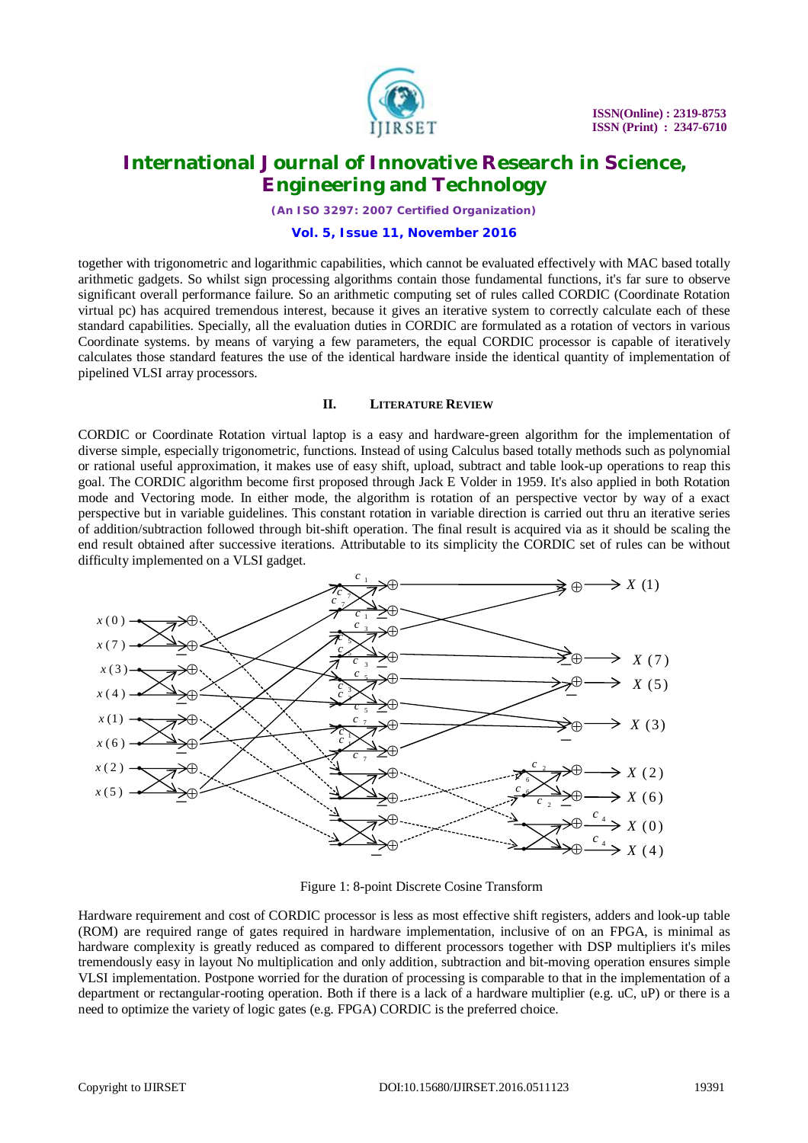

*(An ISO 3297: 2007 Certified Organization)*

#### **Vol. 5, Issue 11, November 2016**

together with trigonometric and logarithmic capabilities, which cannot be evaluated effectively with MAC based totally arithmetic gadgets. So whilst sign processing algorithms contain those fundamental functions, it's far sure to observe significant overall performance failure. So an arithmetic computing set of rules called CORDIC (Coordinate Rotation virtual pc) has acquired tremendous interest, because it gives an iterative system to correctly calculate each of these standard capabilities. Specially, all the evaluation duties in CORDIC are formulated as a rotation of vectors in various Coordinate systems. by means of varying a few parameters, the equal CORDIC processor is capable of iteratively calculates those standard features the use of the identical hardware inside the identical quantity of implementation of pipelined VLSI array processors.

#### **II. LITERATURE REVIEW**

CORDIC or Coordinate Rotation virtual laptop is a easy and hardware-green algorithm for the implementation of diverse simple, especially trigonometric, functions. Instead of using Calculus based totally methods such as polynomial or rational useful approximation, it makes use of easy shift, upload, subtract and table look-up operations to reap this goal. The CORDIC algorithm become first proposed through Jack E Volder in 1959. It's also applied in both Rotation mode and Vectoring mode. In either mode, the algorithm is rotation of an perspective vector by way of a exact perspective but in variable guidelines. This constant rotation in variable direction is carried out thru an iterative series of addition/subtraction followed through bit-shift operation. The final result is acquired via as it should be scaling the end result obtained after successive iterations. Attributable to its simplicity the CORDIC set of rules can be without difficulty implemented on a VLSI gadget.



Figure 1: 8-point Discrete Cosine Transform

Hardware requirement and cost of CORDIC processor is less as most effective shift registers, adders and look-up table (ROM) are required range of gates required in hardware implementation, inclusive of on an FPGA, is minimal as hardware complexity is greatly reduced as compared to different processors together with DSP multipliers it's miles tremendously easy in layout No multiplication and only addition, subtraction and bit-moving operation ensures simple VLSI implementation. Postpone worried for the duration of processing is comparable to that in the implementation of a department or rectangular-rooting operation. Both if there is a lack of a hardware multiplier (e.g. uC, uP) or there is a need to optimize the variety of logic gates (e.g. FPGA) CORDIC is the preferred choice.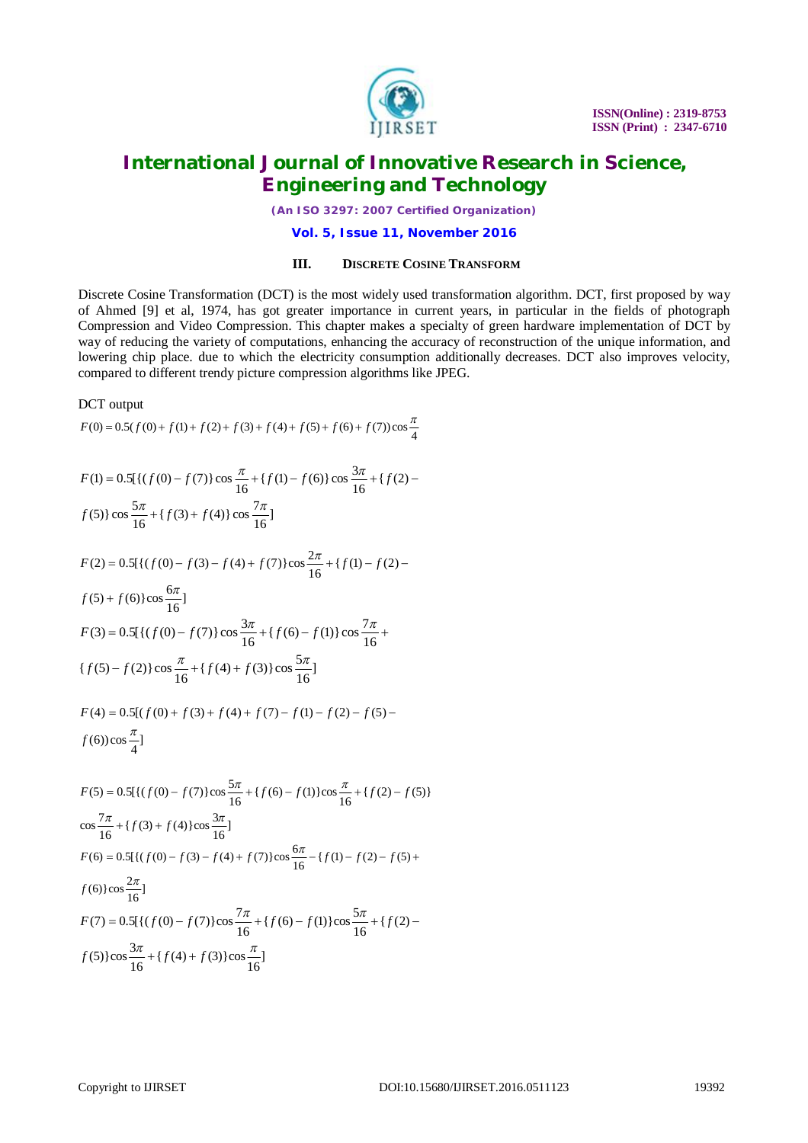

*(An ISO 3297: 2007 Certified Organization)*

**Vol. 5, Issue 11, November 2016**

### **III. DISCRETE COSINE TRANSFORM**

Discrete Cosine Transformation (DCT) is the most widely used transformation algorithm. DCT, first proposed by way of Ahmed [9] et al, 1974, has got greater importance in current years, in particular in the fields of photograph Compression and Video Compression. This chapter makes a specialty of green hardware implementation of DCT by way of reducing the variety of computations, enhancing the accuracy of reconstruction of the unique information, and lowering chip place. due to which the electricity consumption additionally decreases. DCT also improves velocity, compared to different trendy picture compression algorithms like JPEG.

#### DCT output

$$
F(0) = 0.5(f(0) + f(1) + f(2) + f(3) + f(4) + f(5) + f(6) + f(7))\cos\frac{\pi}{4}
$$

$$
F(1) = 0.5[\{(f(0) - f(7))\cos\frac{\pi}{16} + \{f(1) - f(6)\}\cos\frac{3\pi}{16} + \{f(2) - f(5)\}\cos\frac{5\pi}{16} + \{f(3) + f(4)\}\cos\frac{7\pi}{16}]
$$

$$
F(2) = 0.5[\{(f(0) - f(3) - f(4) + f(7)\}\cos\frac{2\pi}{16} + \{f(1) - f(2) - f(5) + f(6)\}\cos\frac{6\pi}{16}]
$$

$$
F(3) = 0.5[\{(f(0) - f(7))\}\cos\frac{3\pi}{16} + \{f(6) - f(1)\}\cos\frac{7\pi}{16} + \{f(5) - f(2)\}\cos\frac{\pi}{16} + \{f(4) + f(3)\}\cos\frac{5\pi}{16}]
$$

$$
F(4) = 0.5[(f(0) + f(3) + f(4) + f(7) - f(1) - f(2) - f(5) - f(6))\cos{\frac{\pi}{4}}]
$$

$$
F(5) = 0.5[\{(f(0) - f(7))\cos\frac{5\pi}{16} + \{f(6) - f(1)\}\cos\frac{\pi}{16} + \{f(2) - f(5)\}\cos\frac{7\pi}{16} + \{f(3) + f(4)\}\cos\frac{3\pi}{16}]
$$
  
\n
$$
F(6) = 0.5[\{(f(0) - f(3) - f(4) + f(7))\cos\frac{6\pi}{16} - \{f(1) - f(2) - f(5)\} +
$$
  
\n
$$
f(6)\}\cos\frac{2\pi}{16}]
$$
  
\n
$$
F(7) = 0.5[\{(f(0) - f(7))\cos\frac{7\pi}{16} + \{f(6) - f(1)\}\cos\frac{5\pi}{16} + \{f(2) - f(5)\}\cos\frac{3\pi}{16} + \{f(4) + f(3)\}\cos\frac{\pi}{16}]
$$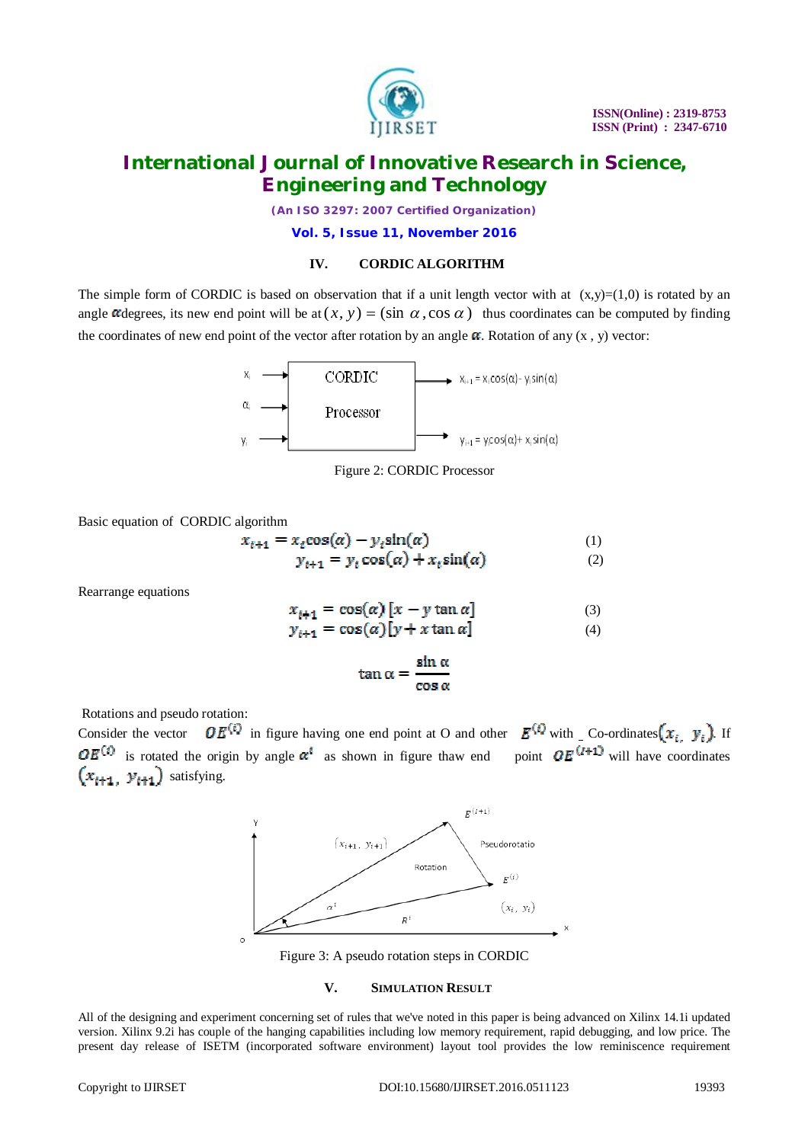

*(An ISO 3297: 2007 Certified Organization)*

**Vol. 5, Issue 11, November 2016**

### **IV. CORDIC ALGORITHM**

The simple form of CORDIC is based on observation that if a unit length vector with at  $(x,y)=(1,0)$  is rotated by an angle  $\alpha$  degrees, its new end point will be at  $(x, y) = (\sin \alpha, \cos \alpha)$  thus coordinates can be computed by finding the coordinates of new end point of the vector after rotation by an angle  $\alpha$ . Rotation of any  $(x, y)$  vector:





Basic equation of CORDIC algorithm

$$
x_{i+1} = x_{i}\cos(\alpha) - y_{i}\sin(\alpha) \tag{1}
$$
  

$$
y_{i+1} = y_{i}\cos(\alpha) + x_{i}\sin(\alpha) \tag{2}
$$

Rearrange equations

$$
x_{i+1} = \cos(\alpha) \left[ x - y \tan \alpha \right] \tag{3}
$$

$$
y_{i+1} = \cos(\alpha)[y + x \tan \alpha] \tag{4}
$$

$$
\tan \alpha = \frac{\sin \alpha}{\cos \alpha}
$$

Rotations and pseudo rotation:

Consider the vector  $OE^{(i)}$  in figure having one end point at O and other  $E^{(i)}$  with Co-ordinates  $(x_i, y_i)$ . If  $OE<sup>(i)</sup>$  is rotated the origin by angle  $\alpha^{i}$  as shown in figure thaw end point  $OE<sup>(i+1)</sup>$  will have coordinates  $(x_{i+1}, y_{i+1})$  satisfying.



Figure 3: A pseudo rotation steps in CORDIC

### **V. SIMULATION RESULT**

All of the designing and experiment concerning set of rules that we've noted in this paper is being advanced on Xilinx 14.1i updated version. Xilinx 9.2i has couple of the hanging capabilities including low memory requirement, rapid debugging, and low price. The present day release of ISETM (incorporated software environment) layout tool provides the low reminiscence requirement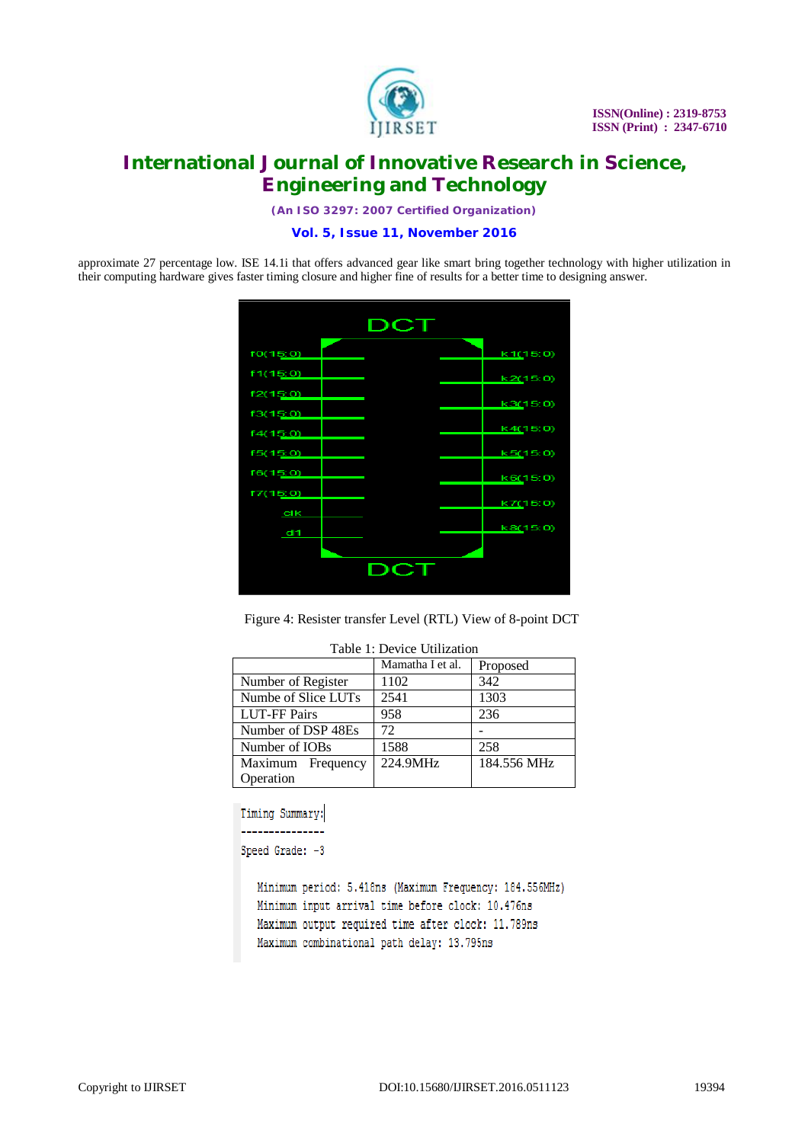

*(An ISO 3297: 2007 Certified Organization)*

**Vol. 5, Issue 11, November 2016**

approximate 27 percentage low. ISE 14.1i that offers advanced gear like smart bring together technology with higher utilization in their computing hardware gives faster timing closure and higher fine of results for a better time to designing answer.



Figure 4: Resister transfer Level (RTL) View of 8-point DCT

|                     | Mamatha I et al. | Proposed    |
|---------------------|------------------|-------------|
| Number of Register  | 1102             | 342         |
| Numbe of Slice LUTs | 2541             | 1303        |
| <b>LUT-FF Pairs</b> | 958              | 236         |
| Number of DSP 48Es  | 72               |             |
| Number of IOBs      | 1588             | 258         |
| Maximum Frequency   | 224.9MHz         | 184.556 MHz |
| Operation           |                  |             |

#### Table 1: Device Utilization

```
Speed Grade: -3
```
Minimum period: 5.418ns (Maximum Frequency: 184.556MHz) Minimum input arrival time before clock: 10.476ns Maximum output required time after clock: 11.789ns Maximum combinational path delay: 13.795ns

Timing Summary: \_\_\_\_\_\_\_\_\_\_\_\_\_\_\_